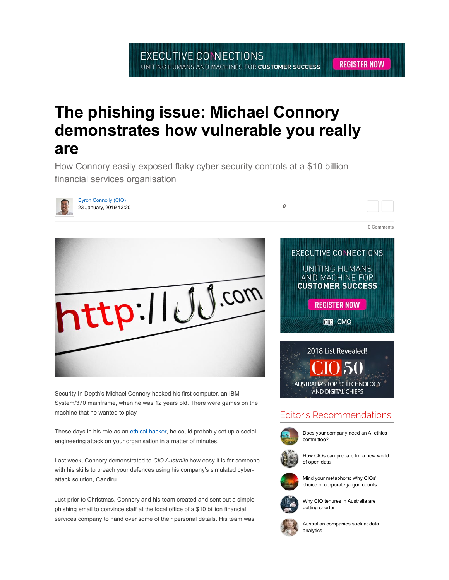0 Comments

## The phishing issue: Michael Connory demonstrates how vulnerable you really are

How Connory easily exposed flaky cyber security controls at a \$10 billion financial services organisation



Byron Connolly (CIO) 23 January, 2019 13:20 0



Security In Depth's Michael Connory hacked his first computer, an IBM System/370 mainframe, when he was 12 years old. There were games on the machine that he wanted to play.

These days in his role as an ethical hacker, he could probably set up a social engineering attack on your organisation in a matter of minutes.

Last week, Connory demonstrated to CIO Australia how easy it is for someone with his skills to breach your defences using his company's simulated cyberattack solution, Candiru.

Just prior to Christmas, Connory and his team created and sent out a simple phishing email to convince staff at the local office of a \$10 billion financial services company to hand over some of their personal details. His team was





## Editor's Recommendations



Does your company need an AI ethics committee?



How CIOs can prepare for a new world of open data







Why CIO tenures in Australia are getting shorter



Australian companies suck at data analytics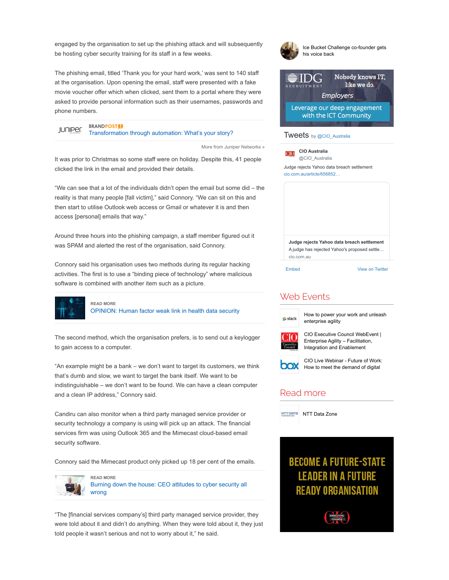engaged by the organisation to set up the phishing attack and will subsequently be hosting cyber security training for its staff in a few weeks.

The phishing email, titled 'Thank you for your hard work,' was sent to 140 staff at the organisation. Upon opening the email, staff were presented with a fake movie voucher offer which when clicked, sent them to a portal where they were asked to provide personal information such as their usernames, passwords and phone numbers.



More from Juniper Networks »

It was prior to Christmas so some staff were on holiday. Despite this, 41 people clicked the link in the email and provided their details.

"We can see that a lot of the individuals didn't open the email but some did – the reality is that many people [fall victim]," said Connory. "We can sit on this and then start to utilise Outlook web access or Gmail or whatever it is and then access [personal] emails that way."

Around three hours into the phishing campaign, a staff member figured out it was SPAM and alerted the rest of the organisation, said Connory.

Connory said his organisation uses two methods during its regular hacking activities. The first is to use a "binding piece of technology" where malicious software is combined with another item such as a picture.



OPINION: Human factor weak link in health data security

The second method, which the organisation prefers, is to send out a keylogger to gain access to a computer.

"An example might be a bank – we don't want to target its customers, we think that's dumb and slow, we want to target the bank itself. We want to be indistinguishable – we don't want to be found. We can have a clean computer and a clean IP address," Connory said.

Candiru can also monitor when a third party managed service provider or security technology a company is using will pick up an attack. The financial services firm was using Outlook 365 and the Mimecast cloud-based email security software.

Connory said the Mimecast product only picked up 18 per cent of the emails.



Burning down the house: CEO attitudes to cyber security all wrong

"The [financial services company's] third party managed service provider, they were told about it and didn't do anything. When they were told about it, they just told people it wasn't serious and not to worry about it," he said.



### Web Events



How to power your work and unleash enterprise agility



CIO Executive Council WebEvent | Enterprise Agility – Facilitation, Integration and Enablement



CIO Live Webinar - Future of Work: **COX** How to meet the demand of digital

## Read more



## **BECOME A FUTURE-STATE LEADER IN A FUTURE** Ready Organisation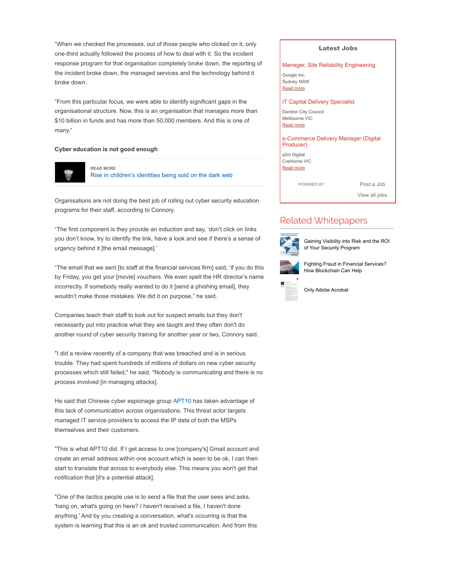"When we checked the processes, out of those people who clicked on it, only one-third actually followed the process of how to deal with it. So the incident response program for that organisation completely broke down, the reporting of the incident broke down, the managed services and the technology behind it broke down.

"From this particular focus, we were able to identify significant gaps in the organisational structure. Now, this is an organisation that manages more than \$10 billion in funds and has more than 50,000 members. And this is one of many."

#### Cyber education is not good enough



READ MORE Rise in children's identities being sold on the dark web

Organisations are not doing the best job of rolling out cyber security education programs for their staff, according to Connory.

"The first component is they provide an induction and say, 'don't click on links you don't know, try to identify the link, have a look and see if there's a sense of urgency behind it [the email message].'

"The email that we sent [to staff at the financial services firm] said, 'if you do this by Friday, you get your [movie] vouchers. We even spelt the HR director's name incorrectly. If somebody really wanted to do it [send a phishing email], they wouldn't make those mistakes. We did it on purpose," he said.

Companies teach their staff to look out for suspect emails but they don't necessarily put into practice what they are taught and they often don't do another round of cyber security training for another year or two, Connory said.

"I did a review recently of a company that was breached and is in serious trouble. They had spent hundreds of millions of dollars on new cyber security processes which still failed," he said. "Nobody is communicating and there is no process involved [in managing attacks].

He said that Chinese cyber espionage group APT10 has taken advantage of this lack of communication across organisations. This threat actor targets managed IT service providers to access the IP data of both the MSPs themselves and their customers.

"This is what APT10 did. If I get access to one [company's] Gmail account and create an email address within one account which is seen to be ok, I can then start to translate that across to everybody else. This means you won't get that notification that [it's a potential attack].

"One of the tactics people use is to send a file that the user sees and asks, 'hang on, what's going on here? I haven't received a file, I haven't done anything.' And by you creating a conversation, what's occurring is that the system is learning that this is an ok and trusted communication. And from this

#### Latest Jobs

#### Manager, Site Reliability Engineering

Google Inc. Sydney NSW Read more

#### IT Capital Delivery Specialist

Darebin City Council Melbourne VIC Read more

#### e-Commerce Delivery Manager (Digital Producer)

s2m Digital Cremorne VIC Read more

POWERED BY Post a Job

View all jobs

### Related Whitepapers



Gaining Visibility into Risk and the ROI of Your Security Program



Fighting Fraud in Financial Services? How Blockchain Can Help

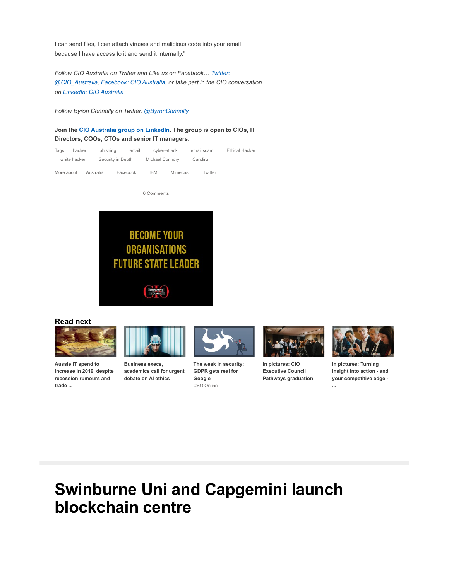I can send files, I can attach viruses and malicious code into your email because I have access to it and send it internally."

Follow CIO Australia on Twitter and Like us on Facebook… Twitter: @CIO\_Australia, Facebook: CIO Australia, or take part in the CIO conversation on LinkedIn: CIO Australia

Follow Byron Connolly on Twitter: @ByronConnolly

Join the CIO Australia group on LinkedIn. The group is open to CIOs, IT Directors, COOs, CTOs and senior IT managers.

| Tags         | hacker | phishing  | email             | cyber-attack |                 | email scam | <b>Ethical Hacker</b> |
|--------------|--------|-----------|-------------------|--------------|-----------------|------------|-----------------------|
| white hacker |        |           | Security in Depth |              | Michael Connory | Candiru    |                       |
| More about   |        | Australia | Facebook          | IBM          | Mimecast        | Twitter    |                       |

0 Comments



Read next



Aussie IT spend to increase in 2019, despite recession rumours and trade ...



Business execs, academics call for urgent debate on AI ethics



The week in security: GDPR gets real for Google CSO Online



In pictures: CIO Executive Council Pathways graduation



In pictures: Turning insight into action - and your competitive edge - ...

# Swinburne Uni and Capgemini launch blockchain centre